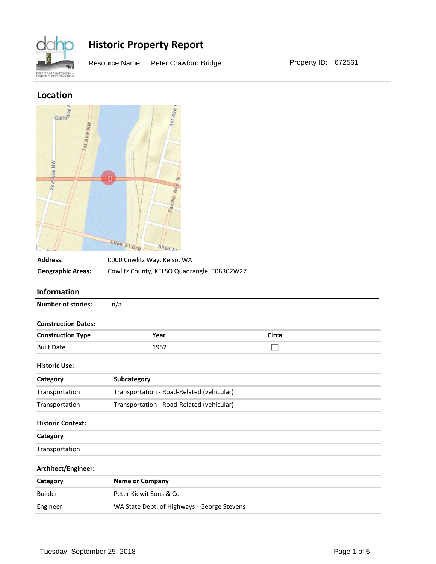

Resource Name: Peter Crawford Bridge Property ID: 672561

### **Location**

| Gallo <sup>4</sup><br><b>Jst Ave NW</b><br>Ave NW<br>2nq | $str_{AVe}$<br>Pacific<br>Allen St Brg<br>Allen St |              |  |
|----------------------------------------------------------|----------------------------------------------------|--------------|--|
| <b>Address:</b>                                          | 0000 Cowlitz Way, Kelso, WA                        |              |  |
| <b>Geographic Areas:</b>                                 | Cowlitz County, KELSO Quadrangle, T08R02W27        |              |  |
| Information                                              |                                                    |              |  |
| <b>Number of stories:</b>                                | n/a                                                |              |  |
| <b>Construction Dates:</b>                               |                                                    |              |  |
| <b>Construction Type</b>                                 | Year                                               | <b>Circa</b> |  |
| <b>Built Date</b>                                        | 1952                                               |              |  |
| <b>Historic Use:</b>                                     |                                                    |              |  |
| Category                                                 | Subcategory                                        |              |  |
| Transportation                                           | Transportation - Road-Related (vehicular)          |              |  |
| Transportation                                           | Transportation - Road-Related (vehicular)          |              |  |
| <b>Historic Context:</b>                                 |                                                    |              |  |
| Category                                                 |                                                    |              |  |
| Transportation                                           |                                                    |              |  |
| Architect/Engineer:                                      |                                                    |              |  |
| Category                                                 | <b>Name or Company</b>                             |              |  |
| <b>Builder</b>                                           | Peter Kiewit Sons & Co                             |              |  |
| Engineer                                                 | WA State Dept. of Highways - George Stevens        |              |  |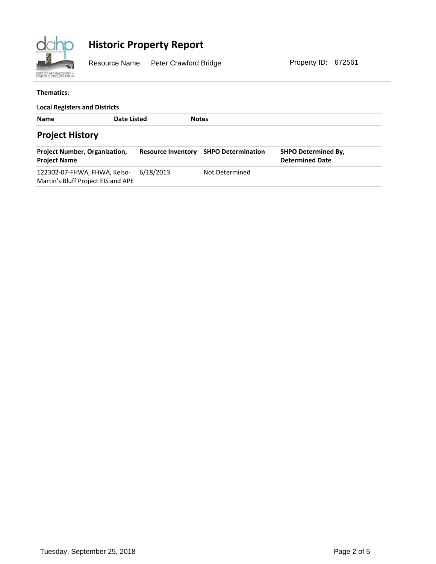

Resource Name: Peter Crawford Bridge Property ID: 672561

#### **Thematics:**

| <b>Local Registers and Districts</b>                               |             |                           |                           |                                                      |  |  |  |  |
|--------------------------------------------------------------------|-------------|---------------------------|---------------------------|------------------------------------------------------|--|--|--|--|
| <b>Name</b>                                                        | Date Listed |                           | <b>Notes</b>              |                                                      |  |  |  |  |
| <b>Project History</b>                                             |             |                           |                           |                                                      |  |  |  |  |
| <b>Project Number, Organization,</b><br><b>Project Name</b>        |             | <b>Resource Inventory</b> | <b>SHPO Determination</b> | <b>SHPO Determined By,</b><br><b>Determined Date</b> |  |  |  |  |
| 122302-07-FHWA, FHWA, Kelso-<br>Martin's Bluff Project EIS and APE | 6/18/2013   |                           | Not Determined            |                                                      |  |  |  |  |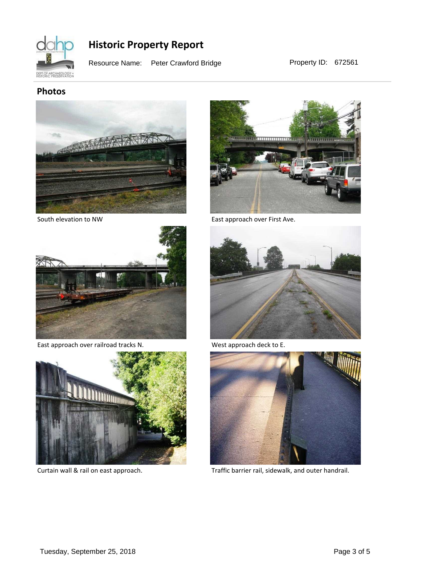

Resource Name: Peter Crawford Bridge Property ID: 672561

### **Photos**



South elevation to NW



East approach over railroad tracks N.



Curtain wall & rail on east approach.



East approach over First Ave.



West approach deck to E.



Traffic barrier rail, sidewalk, and outer handrail.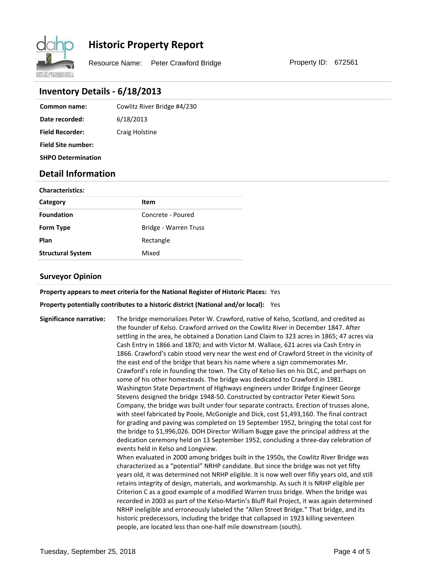

Resource Name: Peter Crawford Bridge Property ID: 672561

### **Inventory Details - 6/18/2013**

| Common name:              | Cowlitz River Bridge #4/230 |
|---------------------------|-----------------------------|
| Date recorded:            | 6/18/2013                   |
| <b>Field Recorder:</b>    | Craig Holstine              |
| <b>Field Site number:</b> |                             |

**SHPO Determination**

### **Detail Information**

| <b>Characteristics:</b>  |                       |  |  |  |
|--------------------------|-----------------------|--|--|--|
| Category                 | Item                  |  |  |  |
| <b>Foundation</b>        | Concrete - Poured     |  |  |  |
| <b>Form Type</b>         | Bridge - Warren Truss |  |  |  |
| Plan                     | Rectangle             |  |  |  |
| <b>Structural System</b> | Mixed                 |  |  |  |

### **Surveyor Opinion**

**Property appears to meet criteria for the National Register of Historic Places:** Yes

**Property potentially contributes to a historic district (National and/or local):** Yes

**Significance narrative:** The bridge memorializes Peter W. Crawford, native of Kelso, Scotland, and credited as the founder of Kelso. Crawford arrived on the Cowlitz River in December 1847. After settling in the area, he obtained a Donation Land Claim to 323 acres in 1865; 47 acres via Cash Entry in 1866 and 1870; and with Victor M. Wallace, 621 acres via Cash Entry in 1866. Crawford's cabin stood very near the west end of Crawford Street in the vicinity of the east end of the bridge that bears his name where a sign commemorates Mr. Crawford's role in founding the town. The City of Kelso lies on his DLC, and perhaps on some of his other homesteads. The bridge was dedicated to Crawford in 1981. Washington State Department of Highways engineers under Bridge Engineer George Stevens designed the bridge 1948-50. Constructed by contractor Peter Kiewit Sons Company, the bridge was built under four separate contracts. Erection of trusses alone, with steel fabricated by Poole, McGonigle and Dick, cost \$1,493,160. The final contract for grading and paving was completed on 19 September 1952, bringing the total cost for the bridge to \$1,996,026. DOH Director William Bugge gave the principal address at the dedication ceremony held on 13 September 1952, concluding a three-day celebration of events held in Kelso and Longview. When evaluated in 2000 among bridges built in the 1950s, the Cowlitz River Bridge was characterized as a "potential" NRHP candidate. But since the bridge was not yet fifty years old, it was determined not NRHP eligible. It is now well over fifiy years old, and still retains integrity of design, materials, and workmanship. As such it is NRHP eligible per Criterion C as a good example of a modified Warren truss bridge. When the bridge was recorded in 2003 as part of the Kelso-Martin's Bluff Rail Project, it was again determined NRHP ineligible and erroneously labeled the "Allen Street Bridge." That bridge, and its historic predecessors, including the bridge that collapsed in 1923 killing seventeen people, are located less than one-half mile downstream (south).